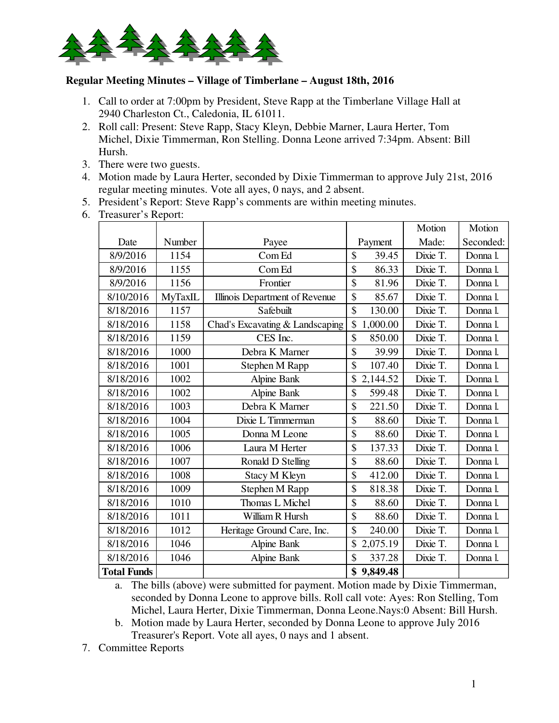

## **Regular Meeting Minutes – Village of Timberlane – August 18th, 2016**

- 1. Call to order at 7:00pm by President, Steve Rapp at the Timberlane Village Hall at 2940 Charleston Ct., Caledonia, IL 61011.
- 2. Roll call: Present: Steve Rapp, Stacy Kleyn, Debbie Marner, Laura Herter, Tom Michel, Dixie Timmerman, Ron Stelling. Donna Leone arrived 7:34pm. Absent: Bill Hursh.
- 3. There were two guests.
- 4. Motion made by Laura Herter, seconded by Dixie Timmerman to approve July 21st, 2016 regular meeting minutes. Vote all ayes, 0 nays, and 2 absent.
- 5. President's Report: Steve Rapp's comments are within meeting minutes.
- 6. Treasurer's Report:

|                    |         |                                 |                | Motion   | Motion    |
|--------------------|---------|---------------------------------|----------------|----------|-----------|
| Date               | Number  | Payee                           | Payment        | Made:    | Seconded: |
| 8/9/2016           | 1154    | Com Ed                          | \$<br>39.45    | Dixie T. | Donna l.  |
| 8/9/2016           | 1155    | Com Ed                          | \$<br>86.33    | Dixie T. | Donna l.  |
| 8/9/2016           | 1156    | Frontier                        | \$<br>81.96    | Dixie T. | Donna l.  |
| 8/10/2016          | MyTaxIL | Illinois Department of Revenue  | \$<br>85.67    | Dixie T. | Donna l.  |
| 8/18/2016          | 1157    | Safebuilt                       | \$<br>130.00   | Dixie T. | Donna l.  |
| 8/18/2016          | 1158    | Chad's Excavating & Landscaping | \$<br>1,000.00 | Dixie T. | Donna l.  |
| 8/18/2016          | 1159    | CES Inc.                        | \$<br>850.00   | Dixie T. | Donna l.  |
| 8/18/2016          | 1000    | Debra K Marner                  | \$<br>39.99    | Dixie T. | Donna l.  |
| 8/18/2016          | 1001    | Stephen M Rapp                  | \$<br>107.40   | Dixie T. | Donna l.  |
| 8/18/2016          | 1002    | Alpine Bank                     | 2,144.52<br>\$ | Dixie T. | Donna l.  |
| 8/18/2016          | 1002    | Alpine Bank                     | \$<br>599.48   | Dixie T. | Donna l.  |
| 8/18/2016          | 1003    | Debra K Marner                  | \$<br>221.50   | Dixie T. | Donna l.  |
| 8/18/2016          | 1004    | Dixie L Timmerman               | \$<br>88.60    | Dixie T. | Donna l.  |
| 8/18/2016          | 1005    | Donna M Leone                   | \$<br>88.60    | Dixie T. | Donna l.  |
| 8/18/2016          | 1006    | Laura M Herter                  | \$<br>137.33   | Dixie T. | Donna l.  |
| 8/18/2016          | 1007    | Ronald D Stelling               | \$<br>88.60    | Dixie T. | Donna l.  |
| 8/18/2016          | 1008    | Stacy M Kleyn                   | \$<br>412.00   | Dixie T. | Donna l.  |
| 8/18/2016          | 1009    | Stephen M Rapp                  | \$<br>818.38   | Dixie T. | Donna l.  |
| 8/18/2016          | 1010    | Thomas L Michel                 | \$<br>88.60    | Dixie T. | Donna l.  |
| 8/18/2016          | 1011    | William R Hursh                 | \$<br>88.60    | Dixie T. | Donna l.  |
| 8/18/2016          | 1012    | Heritage Ground Care, Inc.      | \$<br>240.00   | Dixie T. | Donna l.  |
| 8/18/2016          | 1046    | Alpine Bank                     | \$<br>2,075.19 | Dixie T. | Donna l.  |
| 8/18/2016          | 1046    | Alpine Bank                     | \$<br>337.28   | Dixie T. | Donna l.  |
| <b>Total Funds</b> |         |                                 | \$<br>9,849.48 |          |           |

a. The bills (above) were submitted for payment. Motion made by Dixie Timmerman, seconded by Donna Leone to approve bills. Roll call vote: Ayes: Ron Stelling, Tom Michel, Laura Herter, Dixie Timmerman, Donna Leone.Nays:0 Absent: Bill Hursh.

b. Motion made by Laura Herter, seconded by Donna Leone to approve July 2016 Treasurer's Report. Vote all ayes, 0 nays and 1 absent.

7. Committee Reports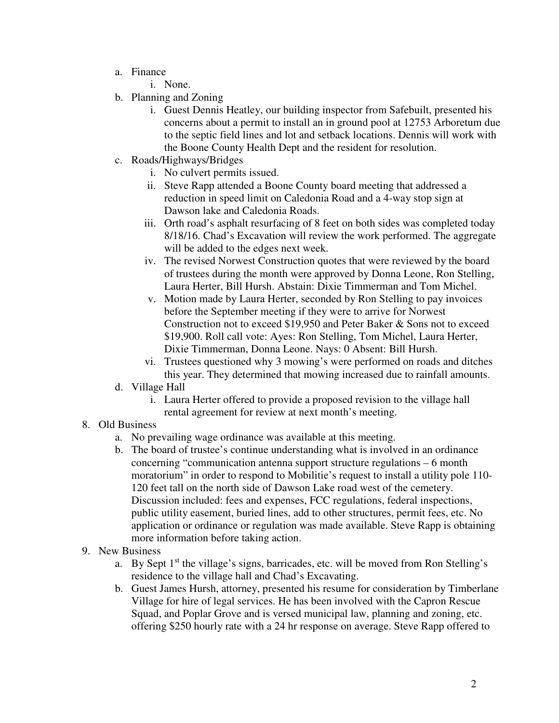- a. Finance
	- i. None.
- b. Planning and Zoning
	- i. Guest Dennis Heatley, our building inspector from Safebuilt, presented his concerns about a permit to install an in ground pool at 12753 Arboretum due to the septic field lines and lot and setback locations. Dennis will work with the Boone County Health Dept and the resident for resolution.
- c. Roads/Highways/Bridges
	- i. No culvert permits issued.
	- ii. Steve Rapp attended a Boone County board meeting that addressed a reduction in speed limit on Caledonia Road and a 4-way stop sign at Dawson lake and Caledonia Roads.
	- iii. Orth road's asphalt resurfacing of 8 feet on both sides was completed today 8/18/16. Chad's Excavation will review the work performed. The aggregate will be added to the edges next week.
	- iv. The revised Norwest Construction quotes that were reviewed by the board of trustees during the month were approved by Donna Leone, Ron Stelling, Laura Herter, Bill Hursh. Abstain: Dixie Timmerman and Tom Michel.
	- v. Motion made by Laura Herter, seconded by Ron Stelling to pay invoices before the September meeting if they were to arrive for Norwest Construction not to exceed \$19,950 and Peter Baker & Sons not to exceed \$19,900. Roll call vote: Ayes: Ron Stelling, Tom Michel, Laura Herter, Dixie Timmerman, Donna Leone. Nays: 0 Absent: Bill Hursh.
	- vi. Trustees questioned why 3 mowing's were performed on roads and ditches this year. They determined that mowing increased due to rainfall amounts.
- d. Village Hall
	- i. Laura Herter offered to provide a proposed revision to the village hall rental agreement for review at next month's meeting.
- 8. Old Business
	- a. No prevailing wage ordinance was available at this meeting.
	- b. The board of trustee's continue understanding what is involved in an ordinance concerning "communication antenna support structure regulations – 6 month moratorium" in order to respond to Mobilitie's request to install a utility pole 110- 120 feet tall on the north side of Dawson Lake road west of the cemetery. Discussion included: fees and expenses, FCC regulations, federal inspections, public utility easement, buried lines, add to other structures, permit fees, etc. No application or ordinance or regulation was made available. Steve Rapp is obtaining more information before taking action.
- 9. New Business
	- a. By Sept  $1<sup>st</sup>$  the village's signs, barricades, etc. will be moved from Ron Stelling's residence to the village hall and Chad's Excavating.
	- b. Guest James Hursh, attorney, presented his resume for consideration by Timberlane Village for hire of legal services. He has been involved with the Capron Rescue Squad, and Poplar Grove and is versed municipal law, planning and zoning, etc. offering \$250 hourly rate with a 24 hr response on average. Steve Rapp offered to